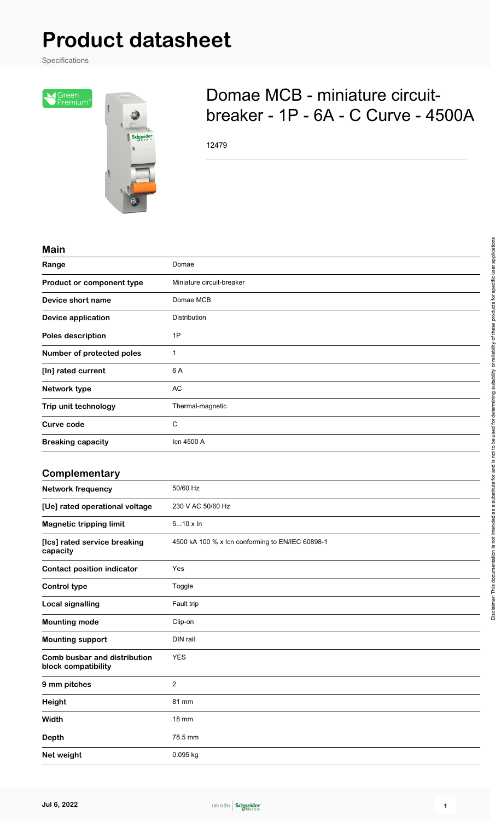# **Product datasheet**

Specifications



## Domae MCB - miniature circuitbreaker - 1P - 6A - C Curve - 4500A

12479

#### **Main**

| Range                                               | Domae                                            |
|-----------------------------------------------------|--------------------------------------------------|
| Product or component type                           | Miniature circuit-breaker                        |
| Device short name                                   | Domae MCB                                        |
| <b>Device application</b>                           | Distribution                                     |
| Poles description                                   | 1P                                               |
| Number of protected poles                           | 1                                                |
| [In] rated current                                  | 6 A                                              |
| Network type                                        | <b>AC</b>                                        |
| Trip unit technology                                | Thermal-magnetic                                 |
| <b>Curve code</b>                                   | $\mathsf{C}$                                     |
| <b>Breaking capacity</b>                            | Icn 4500 A                                       |
|                                                     |                                                  |
| Complementary                                       |                                                  |
| <b>Network frequency</b>                            | 50/60 Hz                                         |
| [Ue] rated operational voltage                      | 230 V AC 50/60 Hz                                |
| <b>Magnetic tripping limit</b>                      | $510 \times \ln$                                 |
| [Ics] rated service breaking<br>capacity            | 4500 kA 100 % x lcn conforming to EN/IEC 60898-1 |
| <b>Contact position indicator</b>                   | Yes                                              |
| <b>Control type</b>                                 | Toggle                                           |
| <b>Local signalling</b>                             | Fault trip                                       |
| <b>Mounting mode</b>                                | Clip-on                                          |
| <b>Mounting support</b>                             | DIN rail                                         |
| Comb busbar and distribution<br>block compatibility | <b>YES</b>                                       |
| 9 mm pitches                                        | $\sqrt{2}$                                       |
| Height                                              | 81 mm                                            |
| Width                                               | <b>18 mm</b>                                     |
| <b>Depth</b>                                        | 78.5 mm                                          |
| Net weight                                          | 0.095 kg                                         |

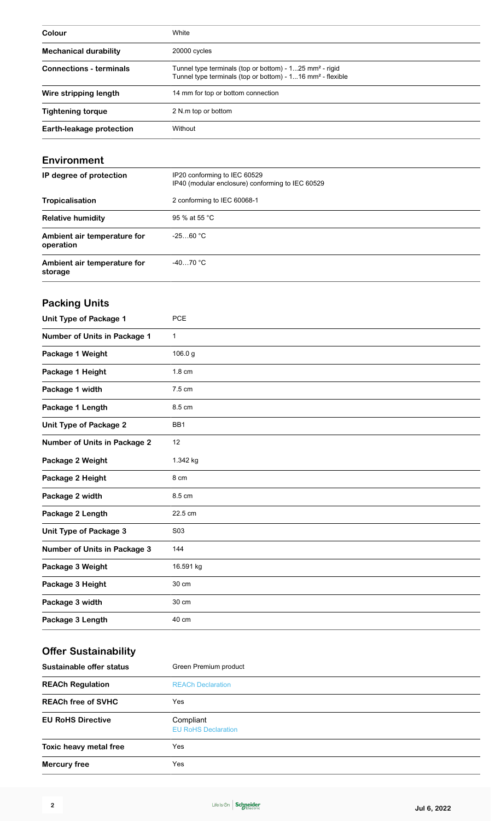| Colour                         | White                                                                                                                                           |
|--------------------------------|-------------------------------------------------------------------------------------------------------------------------------------------------|
| <b>Mechanical durability</b>   | 20000 cycles                                                                                                                                    |
| <b>Connections - terminals</b> | Tunnel type terminals (top or bottom) - $125$ mm <sup>2</sup> - rigid<br>Tunnel type terminals (top or bottom) - 116 mm <sup>2</sup> - flexible |
| Wire stripping length          | 14 mm for top or bottom connection                                                                                                              |
| <b>Tightening torque</b>       | 2 N.m top or bottom                                                                                                                             |
| Earth-leakage protection       | Without                                                                                                                                         |

#### **Environment**

| IP degree of protection                  | IP20 conforming to IEC 60529<br>IP40 (modular enclosure) conforming to IEC 60529 |
|------------------------------------------|----------------------------------------------------------------------------------|
| Tropicalisation                          | 2 conforming to IEC 60068-1                                                      |
| <b>Relative humidity</b>                 | 95 % at 55 °C                                                                    |
| Ambient air temperature for<br>operation | $-2560 °C$                                                                       |
| Ambient air temperature for<br>storage   | $-4070 °C$                                                                       |

## **Packing Units**

| <b>Unit Type of Package 1</b>       | <b>PCE</b>      |
|-------------------------------------|-----------------|
| Number of Units in Package 1        | $\mathbf 1$     |
| Package 1 Weight                    | 106.0 g         |
| Package 1 Height                    | 1.8 cm          |
| Package 1 width                     | 7.5 cm          |
| Package 1 Length                    | 8.5 cm          |
| <b>Unit Type of Package 2</b>       | BB <sub>1</sub> |
| <b>Number of Units in Package 2</b> | 12              |
| Package 2 Weight                    | 1.342 kg        |
| Package 2 Height                    | 8 cm            |
| Package 2 width                     | 8.5 cm          |
| Package 2 Length                    | 22.5 cm         |
| <b>Unit Type of Package 3</b>       | S03             |
| <b>Number of Units in Package 3</b> | 144             |
| Package 3 Weight                    | 16.591 kg       |
| Package 3 Height                    | 30 cm           |
| Package 3 width                     | 30 cm           |
| Package 3 Length                    | 40 cm           |

## **Offer Sustainability**

| Sustainable offer status  | Green Premium product                   |  |
|---------------------------|-----------------------------------------|--|
| <b>REACh Regulation</b>   | <b>REACh Declaration</b>                |  |
| <b>REACh free of SVHC</b> | Yes                                     |  |
| <b>EU RoHS Directive</b>  | Compliant<br><b>EU RoHS Declaration</b> |  |
| Toxic heavy metal free    | Yes                                     |  |
| <b>Mercury free</b>       | Yes                                     |  |